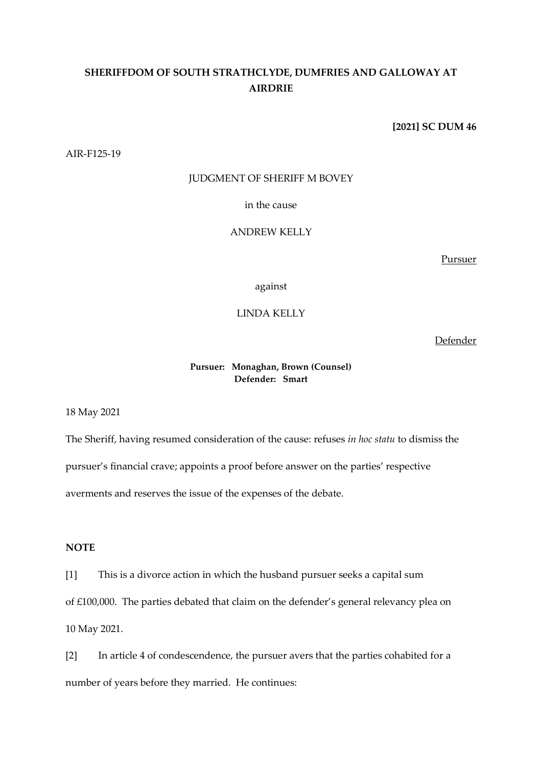# **SHERIFFDOM OF SOUTH STRATHCLYDE, DUMFRIES AND GALLOWAY AT AIRDRIE**

## **[2021] SC DUM 46**

AIR-F125-19

### JUDGMENT OF SHERIFF M BOVEY

in the cause

#### ANDREW KELLY

Pursuer

against

# LINDA KELLY

Defender

### **Pursuer: Monaghan, Brown (Counsel) Defender: Smart**

18 May 2021

The Sheriff, having resumed consideration of the cause: refuses *in hoc statu* to dismiss the pursuer's financial crave; appoints a proof before answer on the parties' respective averments and reserves the issue of the expenses of the debate.

## **NOTE**

[1] This is a divorce action in which the husband pursuer seeks a capital sum of £100,000. The parties debated that claim on the defender's general relevancy plea on 10 May 2021.

[2] In article 4 of condescendence, the pursuer avers that the parties cohabited for a number of years before they married. He continues: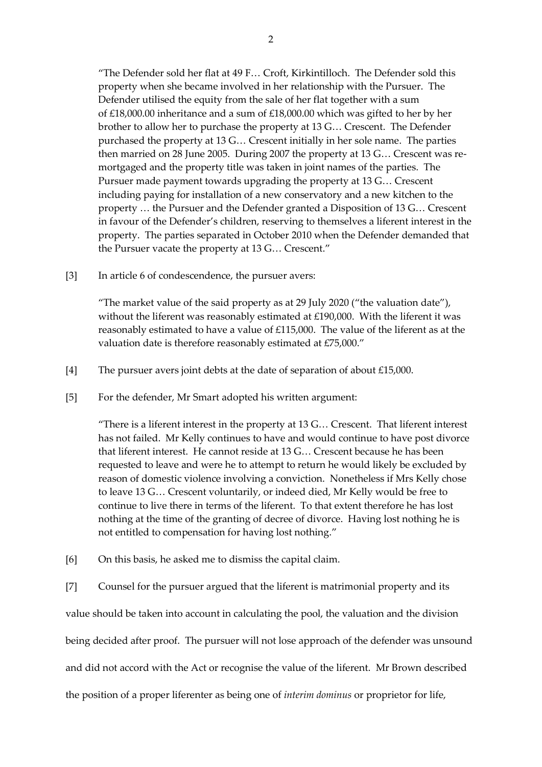"The Defender sold her flat at 49 F… Croft, Kirkintilloch. The Defender sold this property when she became involved in her relationship with the Pursuer. The Defender utilised the equity from the sale of her flat together with a sum of £18,000.00 inheritance and a sum of £18,000.00 which was gifted to her by her brother to allow her to purchase the property at 13 G… Crescent. The Defender purchased the property at 13 G… Crescent initially in her sole name. The parties then married on 28 June 2005. During 2007 the property at 13 G… Crescent was remortgaged and the property title was taken in joint names of the parties. The Pursuer made payment towards upgrading the property at 13 G… Crescent including paying for installation of a new conservatory and a new kitchen to the property … the Pursuer and the Defender granted a Disposition of 13 G… Crescent in favour of the Defender's children, reserving to themselves a liferent interest in the property. The parties separated in October 2010 when the Defender demanded that the Pursuer vacate the property at 13 G… Crescent."

[3] In article 6 of condescendence, the pursuer avers:

"The market value of the said property as at 29 July 2020 ("the valuation date"), without the liferent was reasonably estimated at £190,000. With the liferent it was reasonably estimated to have a value of £115,000. The value of the liferent as at the valuation date is therefore reasonably estimated at £75,000."

- [4] The pursuer avers joint debts at the date of separation of about £15,000.
- [5] For the defender, Mr Smart adopted his written argument:

"There is a liferent interest in the property at 13 G… Crescent. That liferent interest has not failed. Mr Kelly continues to have and would continue to have post divorce that liferent interest. He cannot reside at 13 G… Crescent because he has been requested to leave and were he to attempt to return he would likely be excluded by reason of domestic violence involving a conviction. Nonetheless if Mrs Kelly chose to leave 13 G… Crescent voluntarily, or indeed died, Mr Kelly would be free to continue to live there in terms of the liferent. To that extent therefore he has lost nothing at the time of the granting of decree of divorce. Having lost nothing he is not entitled to compensation for having lost nothing."

[6] On this basis, he asked me to dismiss the capital claim.

[7] Counsel for the pursuer argued that the liferent is matrimonial property and its value should be taken into account in calculating the pool, the valuation and the division being decided after proof. The pursuer will not lose approach of the defender was unsound and did not accord with the Act or recognise the value of the liferent. Mr Brown described the position of a proper liferenter as being one of *interim dominus* or proprietor for life,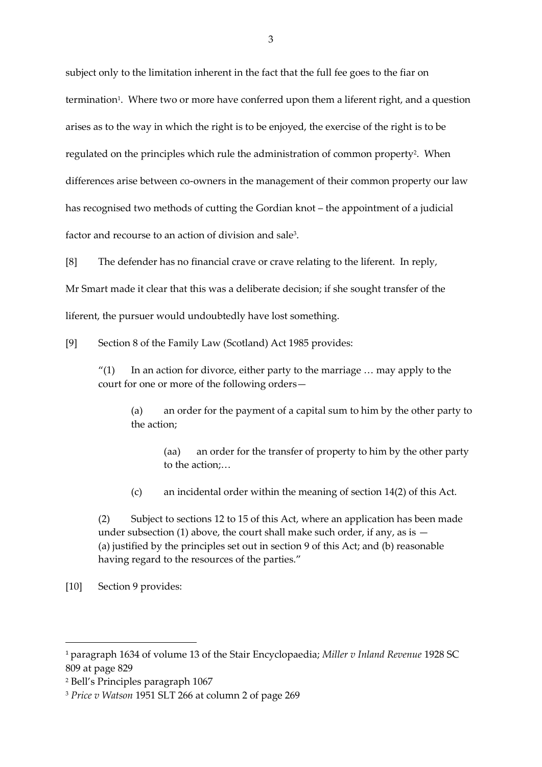subject only to the limitation inherent in the fact that the full fee goes to the fiar on termination<sup>1</sup>. Where two or more have conferred upon them a liferent right, and a question arises as to the way in which the right is to be enjoyed, the exercise of the right is to be regulated on the principles which rule the administration of common property<sup>2</sup>. When differences arise between co-owners in the management of their common property our law has recognised two methods of cutting the Gordian knot – the appointment of a judicial factor and recourse to an action of division and sale<sup>3</sup>.

[8] The defender has no financial crave or crave relating to the liferent. In reply, Mr Smart made it clear that this was a deliberate decision; if she sought transfer of the liferent, the pursuer would undoubtedly have lost something.

[9] Section 8 of the Family Law (Scotland) Act 1985 provides:

" $(1)$  In an action for divorce, either party to the marriage ... may apply to the court for one or more of the following orders—

(a) an order for the payment of a capital sum to him by the other party to the action;

(aa) an order for the transfer of property to him by the other party to the action;…

(c) an incidental order within the meaning of section 14(2) of this Act.

(2) Subject to sections 12 to 15 of this Act, where an application has been made under subsection (1) above, the court shall make such order, if any, as is  $-$ (a) justified by the principles set out in section 9 of this Act; and (b) reasonable having regard to the resources of the parties."

[10] Section 9 provides:

<sup>1</sup> paragraph 1634 of volume 13 of the Stair Encyclopaedia; *Miller v Inland Revenue* 1928 SC 809 at page 829

<sup>2</sup> Bell's Principles paragraph 1067

<sup>3</sup> *Price v Watson* 1951 SLT 266 at column 2 of page 269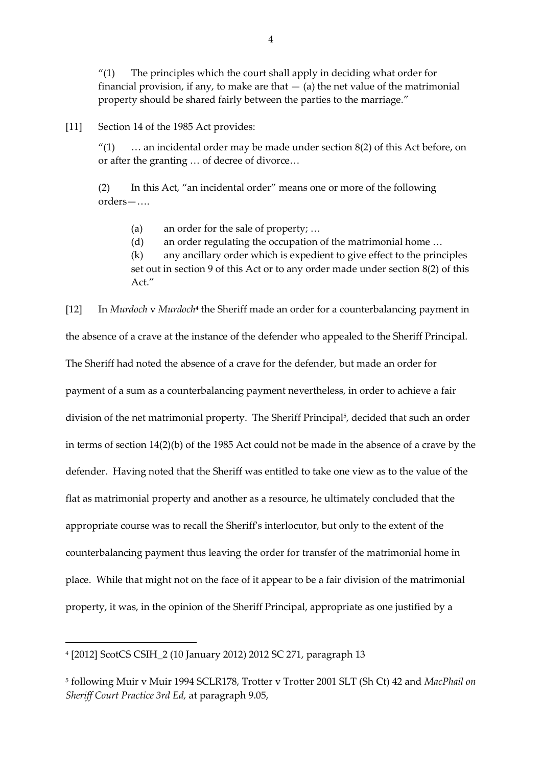$''(1)$  The principles which the court shall apply in deciding what order for financial provision, if any, to make are that  $-$  (a) the net value of the matrimonial property should be shared fairly between the parties to the marriage."

### [11] Section 14 of the 1985 Act provides:

"(1)  $\ldots$  an incidental order may be made under section 8(2) of this Act before, on or after the granting … of decree of divorce…

(2) In this Act, "an incidental order" means one or more of the following orders—….

(a) an order for the sale of property; …

(d) an order regulating the occupation of the matrimonial home …

(k) any ancillary order which is expedient to give effect to the principles set out in section 9 of this Act or to any order made under section 8(2) of this

Act."

[12] In *Murdoch* v *Murdoch*<sup>4</sup> the Sheriff made an order for a counterbalancing payment in the absence of a crave at the instance of the defender who appealed to the Sheriff Principal. The Sheriff had noted the absence of a crave for the defender, but made an order for payment of a sum as a counterbalancing payment nevertheless, in order to achieve a fair division of the net matrimonial property. The Sheriff Principal<sup>5</sup>, decided that such an order in terms of section 14(2)(b) of the 1985 Act could not be made in the absence of a crave by the defender. Having noted that the Sheriff was entitled to take one view as to the value of the flat as matrimonial property and another as a resource, he ultimately concluded that the appropriate course was to recall the Sheriff's interlocutor, but only to the extent of the counterbalancing payment thus leaving the order for transfer of the matrimonial home in place. While that might not on the face of it appear to be a fair division of the matrimonial property, it was, in the opinion of the Sheriff Principal, appropriate as one justified by a

<sup>4</sup> [2012] ScotCS CSIH\_2 (10 January 2012) 2012 SC 271, paragraph 13

<sup>5</sup> following Muir v Muir 1994 SCLR178, Trotter v Trotter 2001 SLT (Sh Ct) 42 and *MacPhail on Sheriff Court Practice 3rd Ed,* at paragraph 9.05,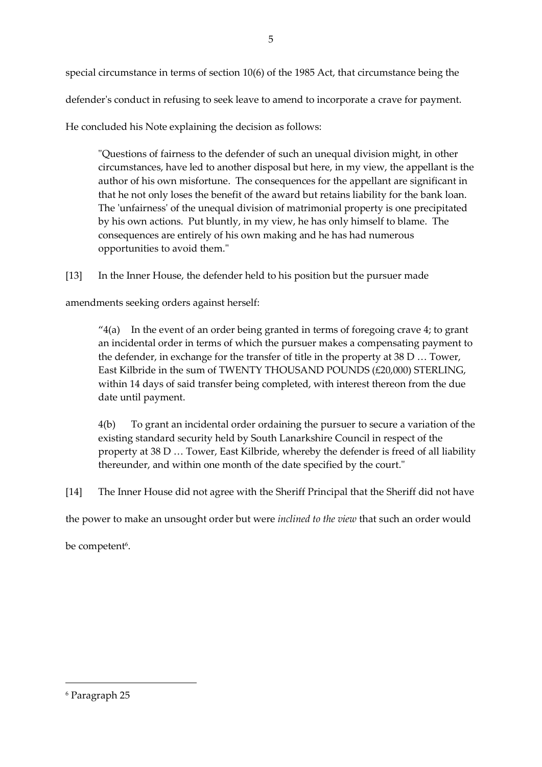special circumstance in terms of section 10(6) of the 1985 Act, that circumstance being the

defender's conduct in refusing to seek leave to amend to incorporate a crave for payment.

He concluded his Note explaining the decision as follows:

"Questions of fairness to the defender of such an unequal division might, in other circumstances, have led to another disposal but here, in my view, the appellant is the author of his own misfortune. The consequences for the appellant are significant in that he not only loses the benefit of the award but retains liability for the bank loan. The 'unfairness' of the unequal division of matrimonial property is one precipitated by his own actions. Put bluntly, in my view, he has only himself to blame. The consequences are entirely of his own making and he has had numerous opportunities to avoid them."

[13] In the Inner House, the defender held to his position but the pursuer made

amendments seeking orders against herself:

 $4(a)$  In the event of an order being granted in terms of foregoing crave 4; to grant an incidental order in terms of which the pursuer makes a compensating payment to the defender, in exchange for the transfer of title in the property at 38 D … Tower, East Kilbride in the sum of TWENTY THOUSAND POUNDS (£20,000) STERLING, within 14 days of said transfer being completed, with interest thereon from the due date until payment.

4(b) To grant an incidental order ordaining the pursuer to secure a variation of the existing standard security held by South Lanarkshire Council in respect of the property at 38 D … Tower, East Kilbride, whereby the defender is freed of all liability thereunder, and within one month of the date specified by the court."

[14] The Inner House did not agree with the Sheriff Principal that the Sheriff did not have

the power to make an unsought order but were *inclined to the view* that such an order would

be competent<sup>6</sup>.

**.** 

<sup>6</sup> Paragraph 25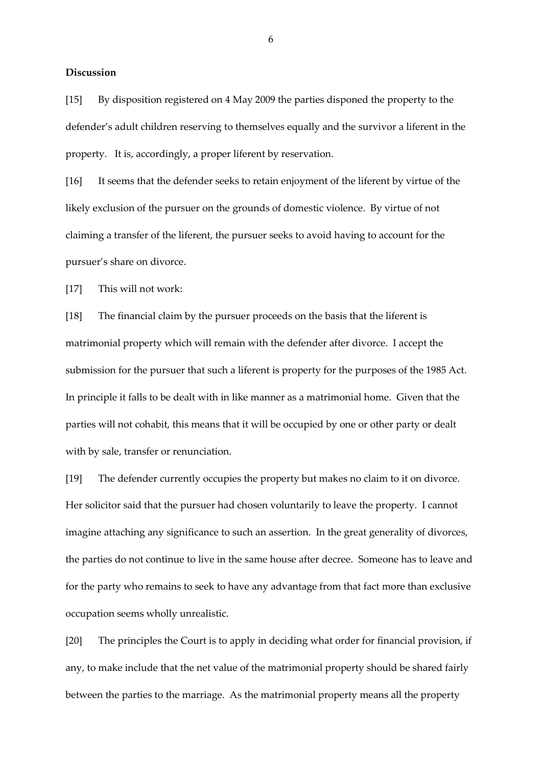### **Discussion**

[15] By disposition registered on 4 May 2009 the parties disponed the property to the defender's adult children reserving to themselves equally and the survivor a liferent in the property. It is, accordingly, a proper liferent by reservation.

[16] It seems that the defender seeks to retain enjoyment of the liferent by virtue of the likely exclusion of the pursuer on the grounds of domestic violence. By virtue of not claiming a transfer of the liferent, the pursuer seeks to avoid having to account for the pursuer's share on divorce.

[17] This will not work:

[18] The financial claim by the pursuer proceeds on the basis that the liferent is matrimonial property which will remain with the defender after divorce. I accept the submission for the pursuer that such a liferent is property for the purposes of the 1985 Act. In principle it falls to be dealt with in like manner as a matrimonial home. Given that the parties will not cohabit, this means that it will be occupied by one or other party or dealt with by sale, transfer or renunciation.

[19] The defender currently occupies the property but makes no claim to it on divorce. Her solicitor said that the pursuer had chosen voluntarily to leave the property. I cannot imagine attaching any significance to such an assertion. In the great generality of divorces, the parties do not continue to live in the same house after decree. Someone has to leave and for the party who remains to seek to have any advantage from that fact more than exclusive occupation seems wholly unrealistic.

[20] The principles the Court is to apply in deciding what order for financial provision, if any, to make include that the net value of the matrimonial property should be shared fairly between the parties to the marriage. As the matrimonial property means all the property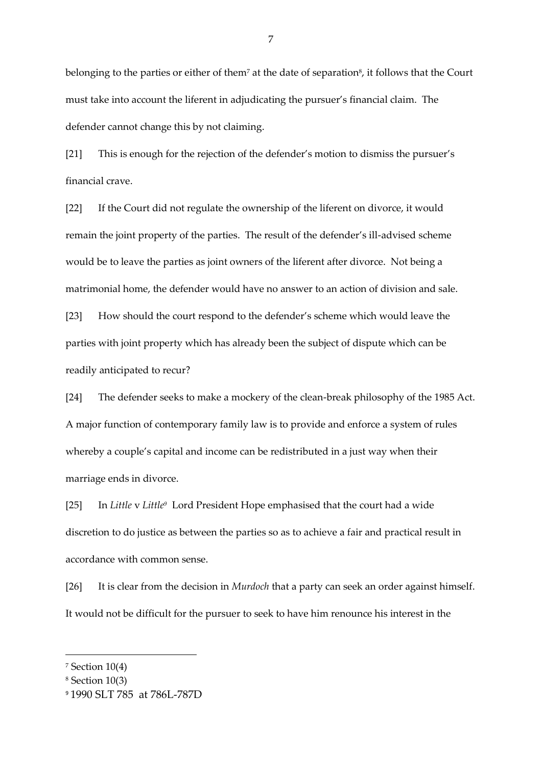belonging to the parties or either of them<sup>7</sup> at the date of separation<sup>8</sup>, it follows that the Court must take into account the liferent in adjudicating the pursuer's financial claim. The defender cannot change this by not claiming.

[21] This is enough for the rejection of the defender's motion to dismiss the pursuer's financial crave.

[22] If the Court did not regulate the ownership of the liferent on divorce, it would remain the joint property of the parties. The result of the defender's ill-advised scheme would be to leave the parties as joint owners of the liferent after divorce. Not being a matrimonial home, the defender would have no answer to an action of division and sale. [23] How should the court respond to the defender's scheme which would leave the parties with joint property which has already been the subject of dispute which can be readily anticipated to recur?

[24] The defender seeks to make a mockery of the clean-break philosophy of the 1985 Act. A major function of contemporary family law is to provide and enforce a system of rules whereby a couple's capital and income can be redistributed in a just way when their marriage ends in divorce.

[25] In *Little* v *Little<sup>9</sup>* Lord President Hope emphasised that the court had a wide discretion to do justice as between the parties so as to achieve a fair and practical result in accordance with common sense.

[26] It is clear from the decision in *Murdoch* that a party can seek an order against himself. It would not be difficult for the pursuer to seek to have him renounce his interest in the

<sup>7</sup> Section 10(4)

<sup>8</sup> Section 10(3)

<sup>9</sup> 1990 SLT 785 at 786L-787D